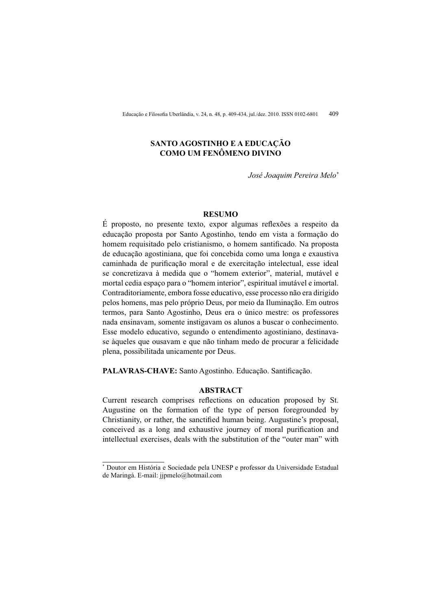# SANTO AGOSTINHO E A EDUCAÇÃO COMO UM FENÔMENO DIVINO

José Joaquim Pereira Melo\*

#### **RESUMO**

É proposto, no presente texto, expor algumas reflexões a respeito da educação proposta por Santo Agostinho, tendo em vista a formação do homem requisitado pelo cristianismo, o homem santificado. Na proposta de educação agostiniana, que foi concebida como uma longa e exaustiva caminhada de purificação moral e de exercitação intelectual, esse ideal se concretizava à medida que o "homem exterior", material, mutável e mortal cedia espaço para o "homem interior", espiritual imutável e imortal. Contraditoriamente, embora fosse educativo, esse processo não era dirigido pelos homens, mas pelo próprio Deus, por meio da Iluminação. Em outros termos, para Santo Agostinho, Deus era o único mestre: os professores nada ensinavam, somente instigavam os alunos a buscar o conhecimento. Esse modelo educativo, segundo o entendimento agostiniano, destinavase àqueles que ousavam e que não tinham medo de procurar a felicidade plena, possibilitada unicamente por Deus.

PALAVRAS-CHAVE: Santo Agostinho. Educação. Santificação.

# **ABSTRACT**

Current research comprises reflections on education proposed by St. Augustine on the formation of the type of person foregrounded by Christianity, or rather, the sanctified human being. Augustine's proposal, conceived as a long and exhaustive journey of moral purification and intellectual exercises, deals with the substitution of the "outer man" with

<sup>&</sup>lt;sup>\*</sup> Doutor em História e Sociedade pela UNESP e professor da Universidade Estadual de Maringá. E-mail: jipmelo@hotmail.com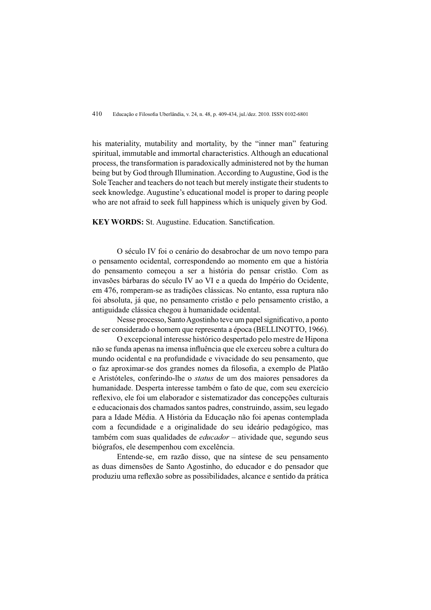his materiality, mutability and mortality, by the "inner man" featuring spiritual, immutable and immortal characteristics. Although an educational process, the transformation is paradoxically administered not by the human being but by God through Illumination. According to Augustine, God is the Sole Teacher and teachers do not teach but merely instigate their students to seek knowledge. Augustine's educational model is proper to daring people who are not afraid to seek full happiness which is uniquely given by God.

**KEY WORDS:** St. Augustine. Education. Sanctification.

O século IV foi o cenário do desabrochar de um novo tempo para o pensamento ocidental, correspondendo ao momento em que a história do pensamento começou a ser a história do pensar cristão. Com as invasões bárbaras do século IV ao VI e a queda do Império do Ocidente, em 476, romperam-se as tradições clássicas. No entanto, essa ruptura não foi absoluta, já que, no pensamento cristão e pelo pensamento cristão, a antiguidade clássica chegou à humanidade ocidental.

Nesse processo, Santo Agostinho teve um papel significativo, a ponto de ser considerado o homem que representa a época (BELLINOTTO, 1966).

O excepcional interesse histórico despertado pelo mestre de Hipona não se funda apenas na imensa influência que ele exerceu sobre a cultura do mundo ocidental e na profundidade e vivacidade do seu pensamento, que o faz aproximar-se dos grandes nomes da filosofia, a exemplo de Platão e Aristóteles, conferindo-lhe o *status* de um dos maiores pensadores da humanidade. Desperta interesse também o fato de que, com seu exercício reflexivo, ele foi um elaborador e sistematizador das concepções culturais e educacionais dos chamados santos padres, construindo, assim, seu legado para a Idade Média. A História da Educação não foi apenas contemplada com a fecundidade e a originalidade do seu ideário pedagógico, mas também com suas qualidades de *educador* – atividade que, segundo seus biógrafos, ele desempenhou com excelência.

Entende-se, em razão disso, que na síntese de seu pensamento as duas dimensões de Santo Agostinho, do educador e do pensador que produziu uma reflexão sobre as possibilidades, alcance e sentido da prática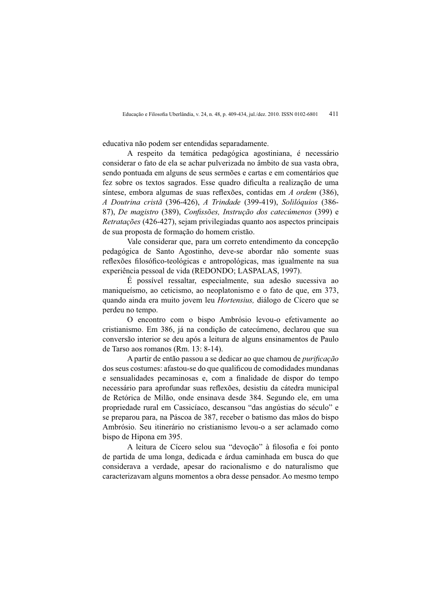educativa não podem ser entendidas separadamente.

A respeito da temática pedagógica agostiniana, é necessário considerar o fato de ela se achar pulverizada no âmbito de sua vasta obra, sendo pontuada em alguns de seus sermões e cartas e em comentários que fez sobre os textos sagrados. Esse quadro dificulta a realização de uma síntese, embora algumas de suas reflexões, contidas em A ordem (386), A Doutrina cristã (396-426), A Trindade (399-419), Solilóquios (386-87), De magistro (389), Confissões, Instrução dos catecúmenos (399) e Retratações (426-427), sejam privilegiadas quanto aos aspectos principais de sua proposta de formação do homem cristão.

Vale considerar que, para um correto entendimento da concepção pedagógica de Santo Agostinho, deve-se abordar não somente suas reflexões filosófico-teológicas e antropológicas, mas igualmente na sua experiência pessoal de vida (REDONDO; LASPALAS, 1997).

É possível ressaltar, especialmente, sua adesão sucessiva ao maniqueísmo, ao ceticismo, ao neoplatonismo e o fato de que, em 373. quando ainda era muito jovem leu *Hortensius*, diálogo de Cícero que se perdeu no tempo.

O encontro com o bispo Ambrósio levou-o efetivamente ao cristianismo. Em 386, já na condição de cateçumeno, declarou que sua conversão interior se deu após a leitura de alguns ensinamentos de Paulo de Tarso aos romanos (Rm. 13: 8-14).

A partir de então passou a se dedicar ao que chamou de *purificação* dos seus costumes: afastou-se do que qualificou de comodidades mundanas e sensualidades pecaminosas e, com a finalidade de dispor do tempo necessário para aprofundar suas reflexões, desistiu da cátedra municipal de Retórica de Milão, onde ensinava desde 384. Segundo ele, em uma propriedade rural em Cassicíaco, descansou "das angústias do século" e se preparou para, na Páscoa de 387, receber o batismo das mãos do bispo Ambrósio. Seu itinerário no cristianismo levou-o a ser aclamado como bispo de Hipona em 395.

A leitura de Cícero selou sua "devoção" à filosofia e foi ponto de partida de uma longa, dedicada e árdua caminhada em busca do que considerava a verdade, apesar do racionalismo e do naturalismo que caracterizavam alguns momentos a obra desse pensador. Ao mesmo tempo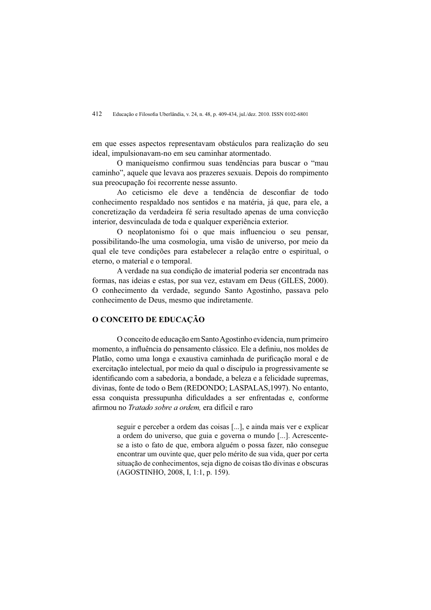em que esses aspectos representavam obstáculos para realização do seu ideal, impulsionavam-no em seu caminhar atormentado.

O maniqueísmo confirmou suas tendências para buscar o "mau caminho", aquele que levava aos prazeres sexuais. Depois do rompimento sua preocupação foi recorrente nesse assunto.

Ao ceticismo ele deve a tendência de desconfiar de todo conhecimento respaldado nos sentidos e na matéria, já que, para ele, a concretização da verdadeira fé seria resultado apenas de uma conviçõe interior, desvinculada de toda e qualquer experiência exterior.

O neoplatonismo foi o que mais influenciou o seu pensar. possibilitando-lhe uma cosmologia, uma visão de universo, por meio da qual ele teve condições para estabelecer a relação entre o espiritual, o eterno, o material e o temporal.

A verdade na sua condição de imaterial poderia ser encontrada nas formas, nas ideias e estas, por sua vez, estavam em Deus (GILES, 2000). O conhecimento da verdade, segundo Santo Agostinho, passava pelo conhecimento de Deus, mesmo que indiretamente.

## O CONCEITO DE EDUCAÇÃO

O conceito de educação em Santo Agostinho evidencia, num primeiro momento, a influência do pensamento clássico. Ele a definiu, nos moldes de Platão, como uma longa e exaustiva caminhada de purificação moral e de exercitação intelectual, por meio da qual o discípulo ia progressivamente se identificando com a sabedoria, a bondade, a beleza e a felicidade supremas, divinas, fonte de todo o Bem (REDONDO: LASPALAS, 1997). No entanto, essa conquista pressupunha dificuldades a ser enfrentadas e, conforme afirmou no *Tratado sobre a ordem*, era difícil e raro

> seguir e perceber a ordem das coisas [...], e ainda mais ver e explicar a ordem do universo, que guia e governa o mundo [...]. Acrescentese a isto o fato de que, embora alguém o possa fazer, não consegue encontrar um ouvinte que, quer pelo mérito de sua vida, quer por certa situação de conhecimentos, seja digno de coisas tão divinas e obscuras (AGOSTINHO, 2008, I, 1:1, p. 159).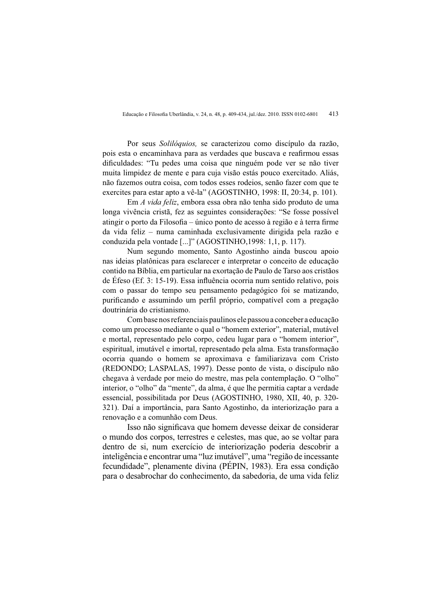Por seus Solilóquios, se caracterizou como discípulo da razão, pois esta o encaminhava para as verdades que buscava e reafirmou essas dificuldades: "Tu pedes uma coisa que ninguém pode ver se não tiver muita limpidez de mente e para cuia visão estás pouco exercitado. Aliás, não fazemos outra coisa, com todos esses rodeios, senão fazer com que te exercites para estar apto a vê-la" (AGOSTINHO, 1998: II, 20:34, p. 101).

Em A vida feliz, embora essa obra não tenha sido produto de uma longa vivência cristã, fez as seguintes considerações: "Se fosse possível atingir o porto da Filosofia – único ponto de acesso à região e à terra firme da vida feliz – numa caminhada exclusivamente dirigida pela razão e conduzida pela vontade [...]" (AGOSTINHO, 1998: 1, 1, p. 117).

Num segundo momento. Santo Agostinho ainda buscou apoio nas ideias platônicas para esclarecer e interpretar o conceito de educação contido na Bíblia, em particular na exortação de Paulo de Tarso aos cristãos de Éfeso (Ef. 3: 15-19). Essa influência ocorria num sentido relativo, pois com o passar do tempo seu pensamento pedagógico foi se matizando. purificando e assumindo um perfil próprio, compatível com a pregação doutrinária do cristianismo.

Com base nos referenciais paulinos ele passou a conceber a educação como um processo mediante o qual o "homem exterior", material, mutável e mortal, representado pelo corpo, cedeu lugar para o "homem interior". espiritual, imutável e imortal, representado pela alma. Esta transformação ocorria quando o homem se aproximava e familiarizava com Cristo (REDONDO; LASPALAS, 1997). Desse ponto de vista, o discípulo não chegava à verdade por meio do mestre, mas pela contemplação. O "olho" interior, o "olho" da "mente", da alma, é que lhe permitia captar a verdade essencial, possibilitada por Deus (AGOSTINHO, 1980, XII, 40, p. 320-321). Daí a importância, para Santo Agostinho, da interiorização para a renovação e a comunhão com Deus.

Isso não significava que homem devesse deixar de considerar o mundo dos corpos, terrestres e celestes, mas que, ao se voltar para dentro de si, num exercício de interiorização poderia descobrir a inteligência e encontrar uma "luz imutável", uma "região de incessante fecundidade", plenamente divina (PÉPIN, 1983). Era essa condição para o desabrochar do conhecimento, da sabedoria, de uma vida feliz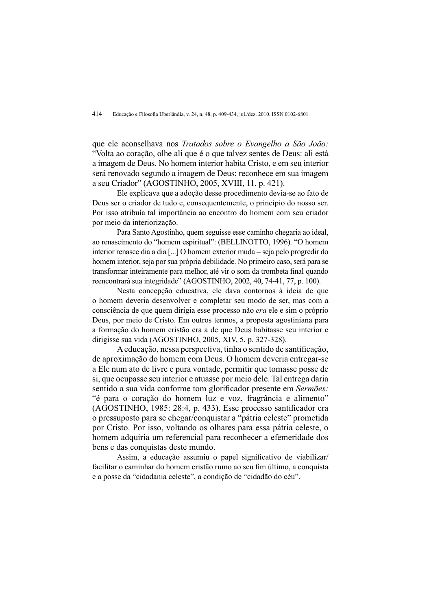que ele aconselhava nos Tratados sobre o Evangelho a São João: "Volta ao coração, olhe ali que é o que talvez sentes de Deus: ali está a imagem de Deus. No homem interior habita Cristo, e em seu interior será renovado segundo a imagem de Deus; reconhece em sua imagem a seu Criador" (AGOSTINHO, 2005, XVIII, 11, p. 421).

Ele explicava que a adoção desse procedimento devia-se ao fato de Deus ser o criador de tudo e, consequentemente, o princípio do nosso ser. Por isso atribuía tal importância ao encontro do homem com seu criador por meio da interiorização.

Para Santo Agostinho, quem seguisse esse caminho chegaria ao ideal, ao renascimento do "homem espiritual": (BELLINOTTO, 1996). "O homem interior renasce dia a dia [...] O homem exterior muda – seja pelo progredir do homem interior, seja por sua própria debilidade. No primeiro caso, será para se transformar inteiramente para melhor, até vir o som da trombeta final quando reencontrará sua integridade" (AGOSTINHO, 2002, 40, 74-41, 77, p. 100).

Nesta concepção educativa, ele dava contornos à ideia de que o homem deveria desenvolver e completar seu modo de ser, mas com a consciência de que quem dirigia esse processo não era ele e sim o próprio Deus, por meio de Cristo. Em outros termos, a proposta agostiniana para a formação do homem cristão era a de que Deus habitasse seu interior e dirigisse sua vida (AGOSTINHO, 2005, XIV, 5, p. 327-328).

A educação, nessa perspectiva, tinha o sentido de santificação, de aproximação do homem com Deus. O homem deveria entregar-se a Ele num ato de livre e pura vontade, permitir que tomasse posse de si, que ocupasse seu interior e atuasse por meio dele. Tal entrega daria sentido a sua vida conforme tom glorificador presente em Sermões: "é para o coração do homem luz e voz, fragrância e alimento" (AGOSTINHO, 1985: 28:4, p. 433). Esse processo santificador era o pressuposto para se chegar/conquistar a "pátria celeste" prometida por Cristo. Por isso, voltando os olhares para essa pátria celeste, o homem adquiria um referencial para reconhecer a efemeridade dos bens e das conquistas deste mundo.

Assim, a educação assumiu o papel significativo de viabilizar/ facilitar o caminhar do homem cristão rumo ao seu fim último, a conquista e a posse da "cidadania celeste", a condição de "cidadão do céu".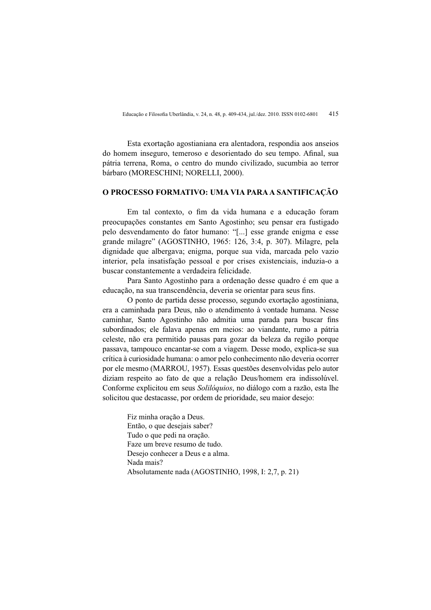Esta exortação agostianiana era alentadora, respondia aos anseios do homem inseguro, temeroso e desorientado do seu tempo. Afinal, sua pátria terrena, Roma, o centro do mundo civilizado, sucumbia ao terror bárbaro (MORESCHINI: NORELLI, 2000).

#### O PROCESSO FORMATIVO: UMA VIA PARA A SANTIFICAÇÃO

Em tal contexto, o fim da vida humana e a educação foram preocupações constantes em Santo Agostinho; seu pensar era fustigado pelo desvendamento do fator humano: "[...] esse grande enigma e esse grande milagre" (AGOSTINHO, 1965: 126, 3:4, p. 307). Milagre, pela dignidade que albergava: enigma, porque sua vida, marcada pelo vazio interior, pela insatisfação pessoal e por crises existenciais, induzia-o a buscar constantemente a verdadeira felicidade.

Para Santo Agostinho para a ordenação desse quadro é em que a educação, na sua transcendência, deveria se orientar para seus fins.

O ponto de partida desse processo, segundo exortação agostiniana, era a caminhada para Deus, não o atendimento à vontade humana. Nesse caminhar, Santo Agostinho não admitia uma parada para buscar fins subordinados: ele falava apenas em meios: ao viandante, rumo a pátria celeste, não era permitido pausas para gozar da beleza da região porque passava, tampouco encantar-se com a viagem. Desse modo, explica-se sua crítica à curiosidade humana: o amor pelo conhecimento não deveria ocorrer por ele mesmo (MARROU, 1957). Essas questões desenvolvidas pelo autor diziam respeito ao fato de que a relação Deus/homem era indissolúvel. Conforme explicitou em seus Solilóquios, no diálogo com a razão, esta lhe solicitou que destacasse, por ordem de prioridade, seu maior desejo:

> Fiz minha oração a Deus. Então, o que desejais saber? Tudo o que pedi na oração. Faze um breve resumo de tudo. Desejo conhecer a Deus e a alma. Nada mais? Absolutamente nada (AGOSTINHO, 1998, I: 2,7, p. 21)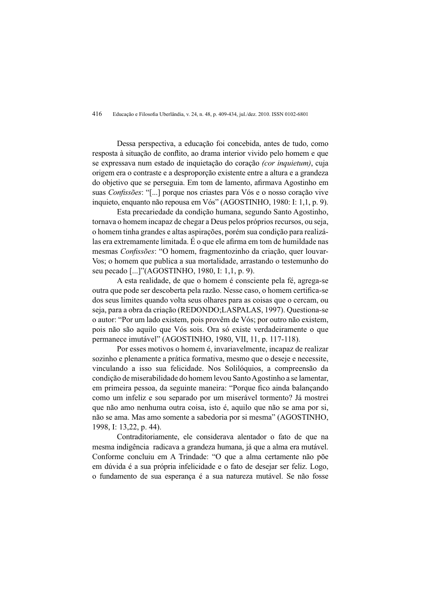Dessa perspectiva, a educação foi concebida, antes de tudo, como resposta à situação de conflito, ao drama interior vivido pelo homem e que se expressava num estado de inquietação do coração (cor inquietum), cuja origem era o contraste e a desproporção existente entre a altura e a grandeza do objetivo que se perseguia. Em tom de lamento, afirmava Agostinho em suas Confissões: "[...] porque nos criastes para Vós e o nosso coração vive inquieto, enquanto não repousa em Vós" (AGOSTINHO, 1980: I: 1,1, p. 9).

Esta precariedade da condição humana, segundo Santo Agostinho, tornava o homem incapaz de chegar a Deus pelos próprios recursos, ou seja. o homem tinha grandes e altas aspirações, porém sua condição para realizálas era extremamente limitada. É o que ele afirma em tom de humildade nas mesmas Confissões: "O homem, fragmentozinho da criação, quer louvar-Vos; o homem que publica a sua mortalidade, arrastando o testemunho do seu pecado [...]"(AGOSTINHO, 1980, I: 1,1, p. 9).

A esta realidade, de que o homem é consciente pela fé, agrega-se outra que pode ser descoberta pela razão. Nesse caso, o homem certifica-se dos seus limites quando volta seus olhares para as coisas que o cercam, ou seja, para a obra da criação (REDONDO;LASPALAS, 1997). Questiona-se o autor: "Por um lado existem, pois provêm de Vós; por outro não existem, pois não são aquilo que Vós sois. Ora só existe verdadeiramente o que permanece imutável" (AGOSTINHO, 1980, VII, 11, p. 117-118).

Por esses motivos o homem é, invariavelmente, incapaz de realizar sozinho e plenamente a prática formativa, mesmo que o deseje e necessite, vinculando a isso sua felicidade. Nos Solilóquios, a compreensão da condição de miserabilidade do homem levou Santo Agostinho a se lamentar. em primeira pessoa, da seguinte maneira: "Porque fico ainda balancando como um infeliz e sou separado por um miserável tormento? Já mostrei que não amo nenhuma outra coisa, isto é, aquilo que não se ama por si, não se ama. Mas amo somente a sabedoria por si mesma" (AGOSTINHO, 1998. I: 13.22. p. 44).

Contraditoriamente, ele considerava alentador o fato de que na mesma indigência radicava a grandeza humana, já que a alma era mutável. Conforme concluiu em A Trindade: "O que a alma certamente não põe em dúvida é a sua própria infelicidade e o fato de desejar ser feliz. Logo, o fundamento de sua esperança é a sua natureza mutável. Se não fosse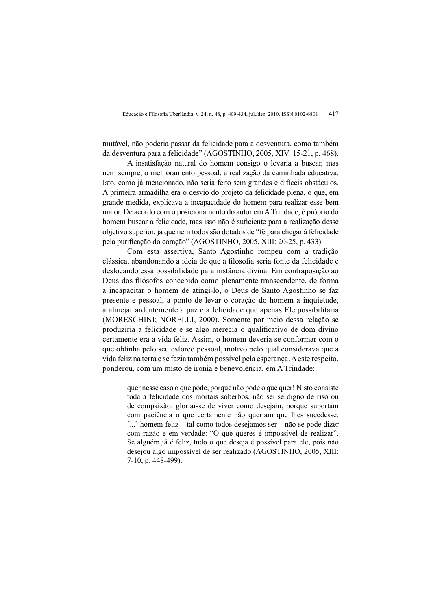mutável, não poderia passar da felicidade para a desventura, como também da desventura para a felicidade" (AGOSTINHO, 2005, XIV: 15-21, p. 468).

A insatisfação natural do homem consigo o levaria a buscar, mas nem sempre, o melhoramento pessoal, a realização da caminhada educativa. Isto, como já mencionado, não seria feito sem grandes e difíceis obstáculos. A primeira armadilha era o desvio do projeto da felicidade plena, o que, em grande medida, explicava a incapacidade do homem para realizar esse bem maior. De acordo com o posicionamento do autor em A Trindade, é próprio do homem buscar a felicidade, mas isso não é suficiente para a realização desse objetivo superior, já que nem todos são dotados de "fé para chegar à felicidade" pela purificação do coração" (AGOSTINHO, 2005, XIII: 20-25, p. 433).

Com esta assertiva. Santo Agostinho rompeu com a tradição clássica, abandonando a ideia de que a filosofia seria fonte da felicidade e deslocando essa possibilidade para instância divina. Em contraposição ao Deus dos filósofos concebido como plenamente transcendente, de forma a incapacitar o homem de atingi-lo, o Deus de Santo Agostinho se faz presente e pessoal, a ponto de levar o coração do homem à inquietude. a almejar ardentemente a paz e a felicidade que apenas Ele possibilitaria (MORESCHINI; NORELLI, 2000). Somente por meio dessa relação se produziria a felicidade e se algo merecia o qualificativo de dom divino certamente era a vida feliz. Assim, o homem deveria se conformar com o que obtinha pelo seu esforco pessoal, motivo pelo qual considerava que a vida feliz na terra e se fazia também possível pela esperança. A este respeito, ponderou, com um misto de ironia e benevolência, em A Trindade:

> quer nesse caso o que pode, porque não pode o que quer! Nisto consiste toda a felicidade dos mortais soberbos, não sei se digno de riso ou de compaixão: gloriar-se de viver como desejam, porque suportam com paciência o que certamente não queriam que lhes sucedesse. [...] homem feliz – tal como todos desejamos ser – não se pode dizer com razão e em verdade: "O que queres é impossível de realizar". Se alguém já é feliz, tudo o que deseja é possível para ele, pois não desejou algo impossível de ser realizado (AGOSTINHO, 2005, XIII: 7-10, p. 448-499).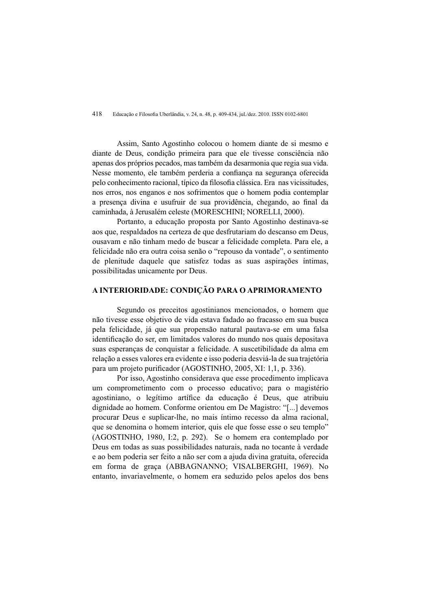Assim, Santo Agostinho colocou o homem diante de si mesmo e diante de Deus, condição primeira para que ele tivesse consciência não apenas dos próprios pecados, mas também da desarmonia que regia sua vida. Nesse momento, ele também perderia a confianca na seguranca oferecida pelo conhecimento racional, típico da filosofia clássica. Era nas vicissitudes, nos erros, nos enganos e nos sofrimentos que o homem podia contemplar a presença divina e usufruir de sua providência, chegando, ao final da caminhada, à Jerusalém celeste (MORESCHINI: NORELLI, 2000).

Portanto, a educação proposta por Santo Agostinho destinava-se aos que, respaldados na certeza de que desfrutariam do descanso em Deus. ousavam e não tinham medo de buscar a felicidade completa. Para ele, a felicidade não era outra coisa senão o "repouso da vontade", o sentimento de plenitude daquele que satisfez todas as suas aspirações íntimas, possibilitadas unicamente por Deus.

# A INTERIORIDADE: CONDICÃO PARA O APRIMORAMENTO

Segundo os preceitos agostinianos mencionados, o homem que não tivesse esse objetivo de vida estava fadado ao fracasso em sua busca pela felicidade, já que sua propensão natural pautava-se em uma falsa identificação do ser, em limitados valores do mundo nos quais depositava suas esperancas de conquistar a felicidade. A suscetibilidade da alma em relação a esses valores era evidente e isso poderia desviá-la de sua trajetória para um projeto purificador (AGOSTINHO, 2005, XI: 1,1, p. 336).

Por isso. Agostinho considerava que esse procedimento implicava um comprometimento com o processo educativo: para o magistério agostiniano, o legítimo artífice da educação é Deus, que atribuiu dignidade ao homem. Conforme orientou em De Magistro: "[...] devemos procurar Deus e suplicar-lhe, no mais íntimo recesso da alma racional, que se denomina o homem interior, quis ele que fosse esse o seu templo" (AGOSTINHO, 1980, I:2, p. 292). Se o homem era contemplado por Deus em todas as suas possibilidades naturais, nada no tocante à verdade e ao bem poderia ser feito a não ser com a ajuda divina gratuita, oferecida em forma de graca (ABBAGNANNO: VISALBERGHI, 1969). No entanto, invariavelmente, o homem era seduzido pelos apelos dos bens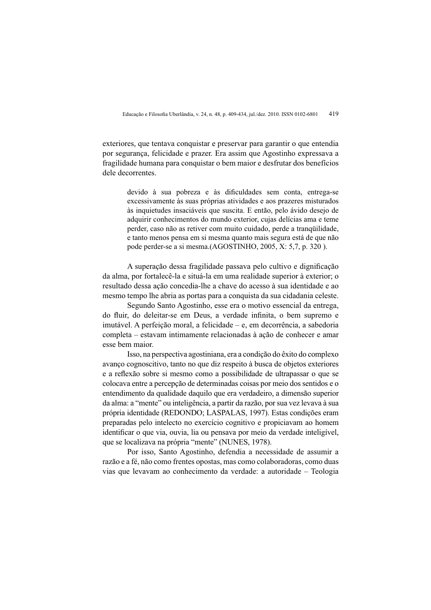exteriores, que tentava conquistar e preservar para garantir o que entendia por segurança, felicidade e prazer. Era assim que Agostinho expressava a fragilidade humana para conquistar o bem maior e desfrutar dos benefícios dele decorrentes.

> devido à sua pobreza e às dificuldades sem conta, entrega-se excessivamente às suas próprias atividades e aos prazeres misturados às inquietudes insaciáveis que suscita. E então, pelo ávido desejo de adquirir conhecimentos do mundo exterior, cuias delícias ama e teme perder, caso não as retiver com muito cuidado, perde a tranquilidade, e tanto menos pensa em si mesma quanto mais segura está de que não pode perder-se a si mesma.(AGOSTINHO, 2005, X: 5,7, p. 320).

A superação dessa fragilidade passava pelo cultivo e dignificação da alma, por fortalecê-la e situá-la em uma realidade superior à exterior; o resultado dessa ação concedia-lhe a chave do acesso à sua identidade e ao mesmo tempo lhe abria as portas para a conquista da sua cidadania celeste.

Segundo Santo Agostinho, esse era o motivo essencial da entrega, do fluir, do deleitar-se em Deus, a verdade infinita, o bem supremo e imutável. A perfeição moral, a felicidade – e, em decorrência, a sabedoria completa – estavam intimamente relacionadas à ação de conhecer e amar esse bem maior.

Isso, na perspectiva agostiniana, era a condição do êxito do complexo avanço cognoscitivo, tanto no que diz respeito à busca de objetos exteriores e a reflexão sobre si mesmo como a possibilidade de ultrapassar o que se colocava entre a percepção de determinadas coisas por meio dos sentidos e o entendimento da qualidade daquilo que era verdadeiro, a dimensão superior da alma: a "mente" ou inteligência, a partir da razão, por sua vez levava à sua própria identidade (REDONDO; LASPALAS, 1997). Estas condições eram preparadas pelo intelecto no exercício cognitivo e propiciavam ao homem identificar o que via, ouvia, lia ou pensava por meio da verdade inteligível, que se localizava na própria "mente" (NUNES, 1978).

Por isso, Santo Agostinho, defendia a necessidade de assumir a razão e a fé, não como frentes opostas, mas como colaboradoras, como duas vias que levavam ao conhecimento da verdade: a autoridade - Teologia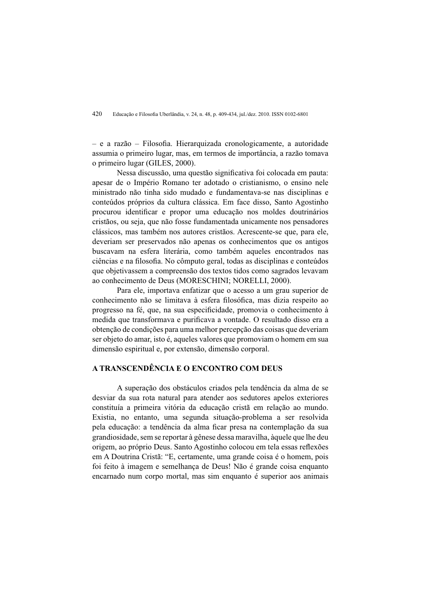$-$  e a razão  $-$  Filosofia. Hierarquizada cronologicamente, a autoridade assumia o primeiro lugar, mas, em termos de importância, a razão tomava o primeiro lugar (GILES, 2000).

Nessa discussão, uma questão significativa foi colocada em pauta: apesar de o Império Romano ter adotado o cristianismo, o ensino nele ministrado não tinha sido mudado e fundamentava-se nas disciplinas e conteúdos próprios da cultura clássica. Em face disso, Santo Agostinho procurou identificar e propor uma educação nos moldes doutrinários cristãos, ou seja, que não fosse fundamentada unicamente nos pensadores clássicos, mas também nos autores cristãos. Acrescente-se que, para ele, deveriam ser preservados não apenas os conhecimentos que os antigos buscavam na esfera literária, como também aqueles encontrados nas ciências e na filosofia. No cômputo geral, todas as disciplinas e conteúdos que objetivas em a compreensão dos textos tidos como sagrados levavam ao conhecimento de Deus (MORESCHINI; NORELLI, 2000).

Para ele, importava enfatizar que o acesso a um grau superior de conhecimento não se limitava à esfera filosófica, mas dizia respeito ao progresso na fé, que, na sua especificidade, promovia o conhecimento à medida que transformava e purificava a vontade. O resultado disso era a obtenção de condições para uma melhor percepção das coisas que deveriam ser objeto do amar, isto é, aqueles valores que promoviam o homem em sua dimensão espiritual e, por extensão, dimensão corporal.

# A TRANSCENDÊNCIA E O ENCONTRO COM DEUS

A superação dos obstáculos criados pela tendência da alma de se desviar da sua rota natural para atender aos sedutores apelos exteriores constituía a primeira vitória da educação cristã em relação ao mundo. Existia, no entanto, uma segunda situação-problema a ser resolvida pela educação: a tendência da alma ficar presa na contemplação da sua grandiosidade, sem se reportar à gênese dessa maravilha, àquele que lhe deu origem, ao próprio Deus. Santo Agostinho colocou em tela essas reflexões em A Doutrina Cristã: "E, certamente, uma grande coisa é o homem, pois foi feito à imagem e semelhanca de Deus! Não é grande coisa enquanto encarnado num corpo mortal, mas sim enquanto é superior aos animais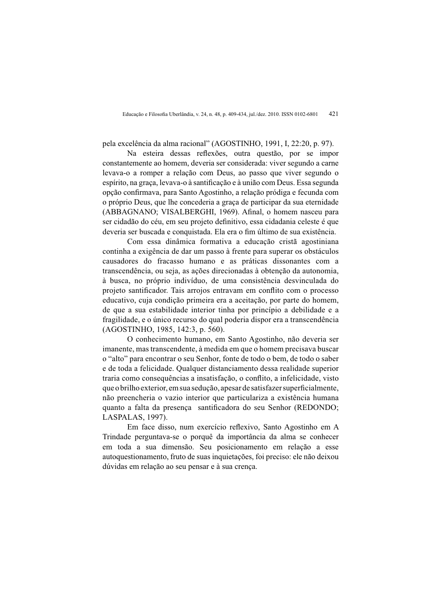pela excelência da alma racional" (AGOSTINHO, 1991, I, 22:20, p. 97).

Na esteira dessas reflexões, outra questão, por se impor constantemente ao homem, deveria ser considerada: viver segundo a carne levava-o a romper a relação com Deus, ao passo que viver segundo o espírito, na graça, levava-o à santificação e à união com Deus. Essa segunda opção confirmava, para Santo Agostinho, a relação pródiga e fecunda com o próprio Deus, que lhe concederia a graça de participar da sua eternidade (ABBAGNANO: VISALBERGHI, 1969). Afinal, o homem nasceu para ser cidadão do céu, em seu projeto definitivo, essa cidadania celeste é que deveria ser buscada e conquistada. Ela era o fim último de sua existência.

Com essa dinâmica formativa a educação cristã agostiniana continha a exigência de dar um passo à frente para superar os obstáculos causadores do fracasso humano e as práticas dissonantes com a transcendência, ou seja, as ações direcionadas à obtenção da autonomia, à busca, no próprio indivíduo, de uma consistência desvinculada do projeto santificador. Tais arrojos entravam em conflito com o processo educativo, cuia condição primeira era a aceitação, por parte do homem. de que a sua estabilidade interior tinha por princípio a debilidade e a fragilidade, e o único recurso do qual poderia dispor era a transcendência (AGOSTINHO, 1985, 142:3, p. 560).

O conhecimento humano, em Santo Agostinho, não deveria ser imanente, mas transcendente, à medida em que o homem precisava buscar o "alto" para encontrar o seu Senhor, fonte de todo o bem, de todo o saber e de toda a felicidade. Qualquer distanciamento dessa realidade superior traria como consequências a insatisfação, o conflito, a infelicidade, visto que o brilho exterior, em sua sedução, apesar de satisfazer superficialmente. não preencheria o vazio interior que particulariza a existência humana quanto a falta da presença santificadora do seu Senhor (REDONDO; LASPALAS, 1997).

Em face disso, num exercício reflexivo, Santo Agostinho em A Trindade perguntava-se o porquê da importância da alma se conhecer em toda a sua dimensão. Seu posicionamento em relação a esse autoquestionamento, fruto de suas inquietações, foi preciso: ele não deixou dúvidas em relação ao seu pensar e à sua crença.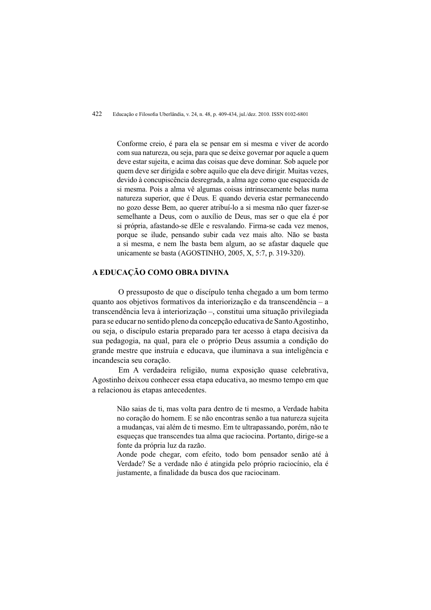Conforme creio, é para ela se pensar em si mesma e viver de acordo com sua natureza, ou seja, para que se deixe governar por aquele a quem deve estar sujeita, e acima das coisas que deve dominar. Sob aquele por quem deve ser dirigida e sobre aquilo que ela deve dirigir. Muitas vezes, devido à concupiscência desregrada, a alma age como que esquecida de si mesma. Pois a alma vê algumas coisas intrinsecamente belas numa natureza superior, que é Deus. E quando deveria estar permanecendo no gozo desse Bem, ao querer atribuí-lo a si mesma não quer fazer-se semelhante a Deus, com o auxílio de Deus, mas ser o que ela é por si própria, afastando-se dEle e resvalando. Firma-se cada vez menos, porque se ilude, pensando subir cada vez mais alto. Não se basta a si mesma, e nem lhe basta bem algum, ao se afastar daquele que unicamente se basta (AGOSTINHO, 2005, X, 5:7, p. 319-320).

### A EDUCAÇÃO COMO OBRA DIVINA

O pressuposto de que o discípulo tenha chegado a um bom termo quanto aos objetivos formativos da interiorização e da transcendência – a transcendência leva à interiorização -, constitui uma situação privilegiada para se educar no sentido pleno da concepção educativa de Santo Agostinho, ou seja, o discípulo estaria preparado para ter acesso à etapa decisiva da sua pedagogia, na qual, para ele o próprio Deus assumia a condição do grande mestre que instruía e educava, que iluminava a sua inteligência e incandescia seu coração.

Em A verdadeira religião, numa exposição quase celebrativa, Agostinho deixou conhecer essa etapa educativa, ao mesmo tempo em que a relacionou às etapas antecedentes.

> Não sajas de ti, mas volta para dentro de ti mesmo, a Verdade habita no coração do homem. E se não encontras senão a tua natureza sujeita a mudanças, vai além de ti mesmo. Em te ultrapassando, porém, não te esqueças que transcendes tua alma que raciocina. Portanto, dirige-se a fonte da própria luz da razão.

> Aonde pode chegar, com efeito, todo bom pensador senão até à Verdade? Se a verdade não é atingida pelo próprio raciocínio, ela é justamente, a finalidade da busca dos que raciocinam.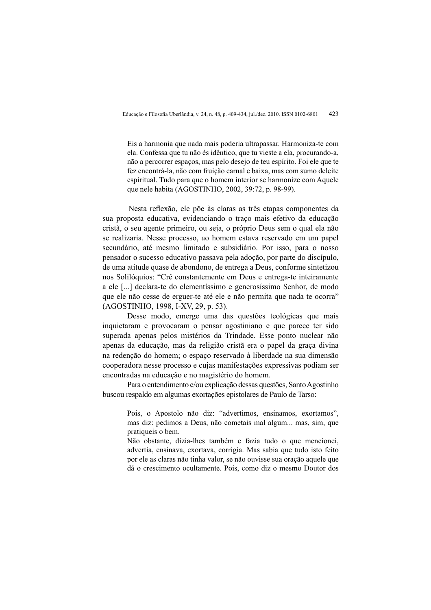Eis a harmonia que nada mais poderia ultrapassar. Harmoniza-te com ela. Confessa que tu não és idêntico, que tu vieste a ela, procurando-a, não a percorrer espaços, mas pelo desejo de teu espírito. Foi ele que te fez encontrá-la, não com fruição carnal e baixa, mas com sumo deleite espiritual. Tudo para que o homem interior se harmonize com Aquele que nele habita (AGOSTINHO, 2002, 39:72, p. 98-99).

Nesta reflexão, ele põe às claras as três etapas componentes da sua proposta educativa, evidenciando o traco mais efetivo da educação cristã, o seu agente primeiro, ou seja, o próprio Deus sem o qual ela não se realizaria. Nesse processo, ao homem estava reservado em um papel secundário, até mesmo limitado e subsidiário. Por isso, para o nosso pensador o sucesso educativo passava pela adoção, por parte do discípulo, de uma atitude quase de abondono, de entrega a Deus, conforme sintetizou nos Solilóquios: "Crê constantemente em Deus e entrega-te inteiramente a ele [...] declara-te do clementíssimo e generosíssimo Senhor, de modo que ele não cesse de erguer-te até ele e não permita que nada te ocorra" (AGOSTINHO, 1998, I-XV, 29, p. 53).

Desse modo, emerge uma das questões teológicas que mais inquietaram e provocaram o pensar agostiniano e que parece ter sido superada apenas pelos mistérios da Trindade. Esse ponto nuclear não apenas da educação, mas da religião cristã era o papel da graça divina na redenção do homem; o espaço reservado à liberdade na sua dimensão cooperadora nesse processo e cujas manifestações expressivas podiam ser encontradas na educação e no magistério do homem.

Para o entendimento e/ou explicação dessas questões, Santo Agostinho buscou respaldo em algumas exortações epistolares de Paulo de Tarso:

> Pois, o Apostolo não diz: "advertimos, ensinamos, exortamos", mas diz: pedimos a Deus, não cometais mal algum... mas, sim, que pratiqueis o bem.

> Não obstante, dizia-lhes também e fazia tudo o que mencionei, advertia, ensinava, exortava, corrigia. Mas sabia que tudo isto feito por ele as claras não tinha valor, se não ouvisse sua oração aquele que dá o crescimento ocultamente. Pois, como diz o mesmo Doutor dos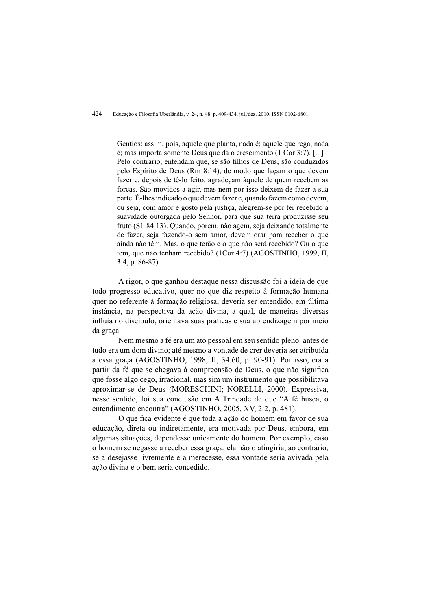#### 424 Educação e Filosofia Uberlândia, v. 24, n. 48, p. 409-434, jul./dez. 2010. ISSN 0102-6801

Gentios: assim, pois, aquele que planta, nada é; aquele que rega, nada é; mas importa somente Deus que dá o crescimento (1 Cor 3:7). [...] Pelo contrario, entendam que, se são filhos de Deus, são conduzidos pelo Espírito de Deus (Rm 8:14), de modo que façam o que devem fazer e, depois de tê-lo feito, agradeçam àquele de quem recebem as forcas. São movidos a agir, mas nem por isso deixem de fazer a sua parte. É-lhes indicado o que devem fazer e, quando fazem como devem, ou seja, com amor e gosto pela justiça, alegrem-se por ter recebido a suavidade outorgada pelo Senhor, para que sua terra produzisse seu fruto (SL 84:13). Quando, porem, não agem, seja deixando totalmente de fazer, seja fazendo-o sem amor, devem orar para receber o que ainda não têm. Mas, o que terão e o que não será recebido? Ou o que tem, que não tenham recebido? (1Cor 4:7) (AGOSTINHO, 1999, II,  $3:4$ , p. 86-87).

A rigor, o que ganhou destaque nessa discussão foi a ideia de que todo progresso educativo, quer no que diz respeito à formação humana quer no referente à formação religiosa, deveria ser entendido, em última instância, na perspectiva da ação divina, a qual, de maneiras diversas influía no discípulo, orientava suas práticas e sua aprendizagem por meio da graca.

Nem mesmo a fé era um ato pessoal em seu sentido pleno: antes de tudo era um dom divino: até mesmo a vontade de crer deveria ser atribuída a essa graça (AGOSTINHO, 1998, II, 34:60, p. 90-91). Por isso, era a partir da fé que se chegava à compreensão de Deus, o que não significa que fosse algo cego, irracional, mas sim um instrumento que possibilitava aproximar-se de Deus (MORESCHINI; NORELLI, 2000). Expressiva, nesse sentido, foi sua conclusão em A Trindade de que "A fé busca, o entendimento encontra" (AGOSTINHO, 2005, XV, 2:2, p. 481).

O que fica evidente é que toda a ação do homem em favor de sua educação, direta ou indiretamente, era motivada por Deus, embora, em algumas situações, dependesse unicamente do homem. Por exemplo, caso o homem se negasse a receber essa graça, ela não o atingiria, ao contrário, se a desejasse livremente e a merecesse, essa vontade seria avivada pela ação divina e o bem seria concedido.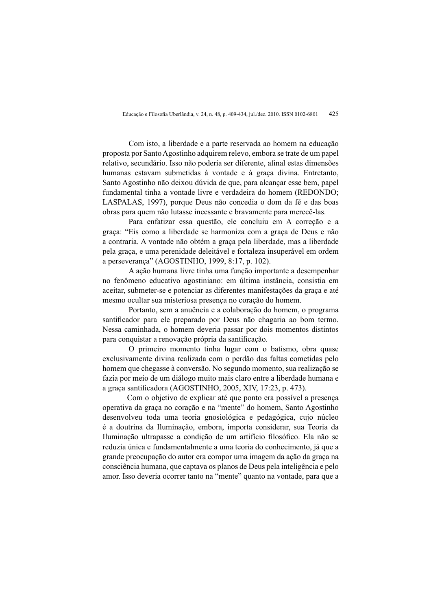Com isto, a liberdade e a parte reservada ao homem na educação proposta por Santo Agostinho adquirem relevo, embora se trate de um papel relativo, secundário. Isso não poderia ser diferente, afinal estas dimensões humanas estavam submetidas à vontade e à graca divina. Entretanto, Santo Agostinho não deixou dúvida de que, para alcançar esse bem, papel fundamental tinha a vontade livre e verdadeira do homem (REDONDO; LASPALAS, 1997), porque Deus não concedia o dom da fé e das boas obras para quem não lutasse incessante e bravamente para merecê-las.

Para enfatizar essa questão, ele concluiu em A correção e a graca: "Eis como a liberdade se harmoniza com a graca de Deus e não a contraria. A vontade não obtém a graça pela liberdade, mas a liberdade pela graca, e uma perenidade deleitável e fortaleza insuperável em ordem a perseverança" (AGOSTINHO, 1999, 8:17, p. 102).

A ação humana livre tinha uma função importante a desempenhar no fenômeno educativo agostiniano: em última instância, consistia em aceitar, submeter-se e potenciar as diferentes manifestações da graça e até mesmo ocultar sua misteriosa presenca no coração do homem.

Portanto, sem a anuência e a colaboração do homem, o programa santificador para ele preparado por Deus não chagaria ao bom termo. Nessa caminhada, o homem deveria passar por dois momentos distintos para conquistar a renovação própria da santificação.

O primeiro momento tinha lugar com o batismo, obra quase exclusivamente divina realizada com o perdão das faltas cometidas pelo homem que chegasse à conversão. No segundo momento, sua realização se fazia por meio de um diálogo muito mais claro entre a liberdade humana e a graca santificadora (AGOSTINHO, 2005, XIV, 17:23, p. 473).

Com o objetivo de explicar até que ponto era possível a presença operativa da graça no coração e na "mente" do homem, Santo Agostinho desenvolveu toda uma teoria gnosiológica e pedagógica, cujo núcleo é a doutrina da Iluminação, embora, importa considerar, sua Teoria da Iluminação ultrapasse a condição de um artifício filosófico. Ela não se reduzia única e fundamentalmente a uma teoria do conhecimento, já que a grande preocupação do autor era compor uma imagem da ação da graça na consciência humana, que captava os planos de Deus pela inteligência e pelo amor. Isso deveria ocorrer tanto na "mente" quanto na vontade, para que a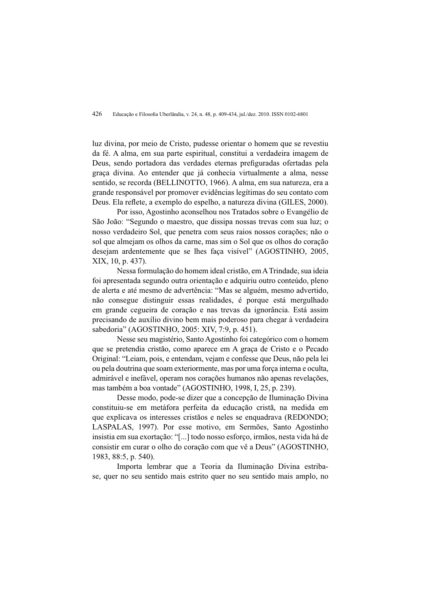luz divina, por meio de Cristo, pudesse orientar o homem que se revestiu da fé. A alma, em sua parte espiritual, constitui a verdadeira imagem de Deus, sendo portadora das verdades eternas prefiguradas ofertadas pela graca divina. Ao entender que já conhecia virtualmente a alma, nesse sentido, se recorda (BELLINOTTO, 1966). A alma, em sua natureza, era a grande responsável por promover evidências legítimas do seu contato com Deus. Ela reflete, a exemplo do espelho, a natureza divina (GILES, 2000).

Por isso. Agostinho aconselhou nos Tratados sobre o Evangélio de São João: "Segundo o maestro, que dissipa nossas trevas com sua luz; o nosso verdadeiro Sol, que penetra com seus raios nossos corações; não o sol que almejam os olhos da carne, mas sim o Sol que os olhos do coração desejam ardentemente que se lhes faca visível" (AGOSTINHO, 2005, XIX, 10, p. 437).

Nessa formulação do homem ideal cristão, em A Trindade, sua ideia foi apresentada segundo outra orientação e adquiriu outro conteúdo, pleno de alerta e até mesmo de advertência: "Mas se alguém, mesmo advertido, não consegue distinguir essas realidades, é porque está mergulhado em grande cegueira de coração e nas trevas da ignorância. Está assim precisando de auxílio divino bem mais poderoso para chegar à verdadeira sabedoria" (AGOSTINHO, 2005: XIV, 7:9, p. 451).

Nesse seu magistério. Santo Agostinho foi categórico com o homem que se pretendia cristão, como aparece em A graça de Cristo e o Pecado Original: "Leiam, pois, e entendam, vejam e confesse que Deus, não pela lei ou pela doutrina que soam exteriormente, mas por uma força interna e oculta, admirável e inefável, operam nos corações humanos não apenas revelações. mas também a boa vontade" (AGOSTINHO, 1998, I, 25, p. 239).

Desse modo, pode-se dizer que a concepção de Iluminação Divina constituiu-se em metáfora perfeita da educação cristã, na medida em que explicava os interesses cristãos e neles se enquadrava (REDONDO: LASPALAS, 1997). Por esse motivo, em Sermões, Santo Agostinho insistia em sua exortação: "[...] todo nosso esforço, irmãos, nesta vida há de consistir em curar o olho do coração com que vê a Deus" (AGOSTINHO, 1983, 88:5, p. 540).

Importa lembrar que a Teoria da Iluminação Divina estribase, quer no seu sentido mais estrito quer no seu sentido mais amplo, no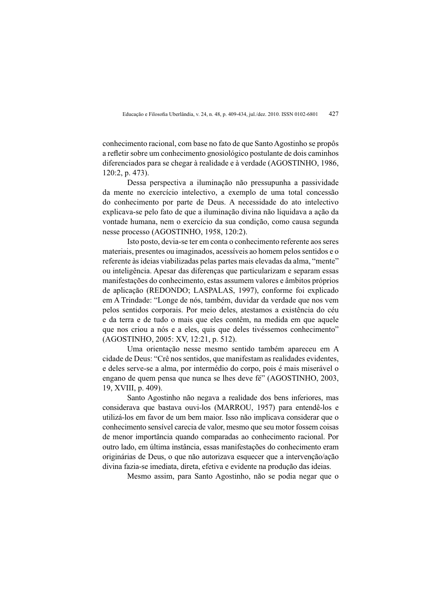conhecimento racional, com base no fato de que Santo Agostinho se propôs a refletir sobre um conhecimento gnosiológico postulante de dois caminhos diferenciados para se chegar à realidade e à verdade (AGOSTINHO, 1986,  $120:2$ , p. 473).

Dessa perspectiva a iluminação não pressupunha a passividade da mente no exercício intelectivo, a exemplo de uma total concessão do conhecimento por parte de Deus. A necessidade do ato intelectivo explicava-se pelo fato de que a iluminação divina não liquidava a ação da vontade humana, nem o exercício da sua condição, como causa segunda nesse processo (AGOSTINHO, 1958, 120:2).

Isto posto, devia-se ter em conta o conhecimento referente aos seres materiais, presentes ou imaginados, acessíveis ao homem pelos sentidos e o referente às ideias viabilizadas pelas partes mais elevadas da alma, "mente" ou inteligência. Apesar das diferenças que particularizam e separam essas manifestações do conhecimento, estas assumem valores e âmbitos próprios de aplicação (REDONDO: LASPALAS, 1997), conforme foi explicado em A Trindade: "Longe de nós, também, duvidar da verdade que nos vem pelos sentidos corporais. Por meio deles, atestamos a existência do céu e da terra e de tudo o mais que eles contêm, na medida em que aquele que nos criou a nós e a eles, quis que deles tivéssemos conhecimento" (AGOSTINHO, 2005: XV, 12:21, p. 512).

Uma orientação nesse mesmo sentido também apareceu em A cidade de Deus: "Crê nos sentidos, que manifestam as realidades evidentes, e deles serve-se a alma, por intermédio do corpo, pois é mais miserável o engano de quem pensa que nunca se lhes deve fé" (AGOSTINHO, 2003, 19. XVIII, p. 409).

Santo Agostinho não negava a realidade dos bens inferiores, mas considerava que bastava ouvi-los (MARROU, 1957) para entendê-los e utilizá-los em favor de um bem maior. Isso não implicava considerar que o conhecimento sensível carecia de valor, mesmo que seu motor fossem coisas de menor importância quando comparadas ao conhecimento racional. Por outro lado, em última instância, essas manifestações do conhecimento eram originárias de Deus, o que não autorizava esquecer que a intervenção/ação divina fazia-se imediata, direta, efetiva e evidente na produção das ideias.

Mesmo assim, para Santo Agostinho, não se podia negar que o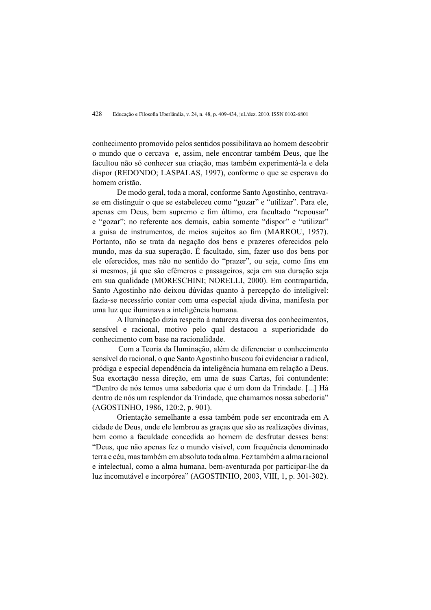conhecimento promovido pelos sentidos possibilitava ao homem descobrir o mundo que o cercava e, assim, nele encontrar também Deus, que lhe facultou não só conhecer sua criação, mas também experimentá-la e dela dispor (REDONDO; LASPALAS, 1997), conforme o que se esperava do homem cristão.

De modo geral, toda a moral, conforme Santo Agostinho, centravase em distinguir o que se estabeleceu como "gozar" e "utilizar". Para ele, apenas em Deus, bem supremo e fim último, era facultado "repousar" e "gozar": no referente aos demais, cabia somente "dispor" e "utilizar" a guisa de instrumentos, de meios sujeitos ao fim (MARROU, 1957). Portanto, não se trata da negação dos bens e prazeres oferecidos pelo mundo, mas da sua superação. É facultado, sim, fazer uso dos bens por ele oferecidos, mas não no sentido do "prazer", ou seja, como fins em si mesmos, já que são efêmeros e passageiros, seja em sua duração seja em sua qualidade (MORESCHINI; NORELLI, 2000). Em contrapartida, Santo Agostinho não deixou dúvidas quanto à percepção do inteligível: fazia-se necessário contar com uma especial ajuda divina, manifesta por uma luz que iluminava a inteligência humana.

A Iluminação dizia respeito à natureza diversa dos conhecimentos, sensível e racional, motivo pelo qual destacou a superioridade do conhecimento com base na racionalidade.

Com a Teoria da Iluminação, além de diferenciar o conhecimento sensível do racional, o que Santo Agostinho buscou foi evidenciar a radical, pródiga e especial dependência da inteligência humana em relação a Deus. Sua exortação nessa direção, em uma de suas Cartas, foi contundente: "Dentro de nós temos uma sabedoria que é um dom da Trindade. [...] Há dentro de nós um resplendor da Trindade, que chamamos nossa sabedoria" (AGOSTINHO, 1986, 120:2, p. 901).

Orientação semelhante a essa também pode ser encontrada em A cidade de Deus, onde ele lembrou as graças que são as realizações divinas. bem como a faculdade concedida ao homem de desfrutar desses bens: "Deus, que não apenas fez o mundo visível, com frequência denominado terra e céu, mas também em absoluto toda alma. Fez também a alma racional e intelectual, como a alma humana, bem-aventurada por participar-lhe da luz incomutável e incorpórea" (AGOSTINHO, 2003, VIII, 1, p. 301-302).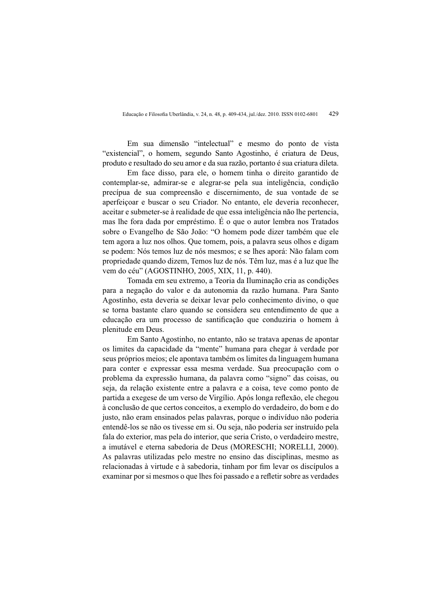Em sua dimensão "intelectual" e mesmo do ponto de vista "existencial", o homem, segundo Santo Agostinho, é criatura de Deus, produto e resultado do seu amor e da sua razão, portanto é sua criatura dileta.

Em face disso, para ele, o homem tinha o direito garantido de contemplar-se, admirar-se e alegrar-se pela sua inteligência, condição precípua de sua compreensão e discernimento, de sua vontade de se aperfeiçoar e buscar o seu Criador. No entanto, ele deveria reconhecer, aceitar e submeter-se à realidade de que essa inteligência não lhe pertencia. mas lhe fora dada por empréstimo. É o que o autor lembra nos Tratados sobre o Evangelho de São João: "O homem pode dizer também que ele tem agora a luz nos olhos. Que tomem, pois, a palavra seus olhos e digam se podem: Nós temos luz de nós mesmos: e se lhes aporá: Não falam com propriedade quando dizem, Temos luz de nós. Têm luz, mas é a luz que lhe vem do céu" (AGOSTINHO, 2005, XIX, 11, p. 440).

Tomada em seu extremo, a Teoria da Iluminação cria as condições para a negação do valor e da autonomia da razão humana. Para Santo Agostinho, esta deveria se deixar levar pelo conhecimento divino, o que se torna bastante claro quando se considera seu entendimento de que a educação era um processo de santificação que conduziria o homem à plenitude em Deus.

Em Santo Agostinho, no entanto, não se tratava apenas de apontar os limites da capacidade da "mente" humana para chegar à verdade por seus próprios meios; ele apontava também os limites da linguagem humana para conter e expressar essa mesma verdade. Sua preocupação com o problema da expressão humana, da palavra como "signo" das coisas, ou seja, da relação existente entre a palavra e a coisa, teve como ponto de partida a exegese de um verso de Virgílio. Após longa reflexão, ele chegou à conclusão de que certos conceitos, a exemplo do verdadeiro, do bom e do justo, não eram ensinados pelas palavras, porque o indivíduo não poderia entendê-los se não os tivesse em si. Ou seja, não poderia ser instruído pela fala do exterior, mas pela do interior, que seria Cristo, o verdadeiro mestre, a imutável e eterna sabedoria de Deus (MORESCHI; NORELLI, 2000). As palayras utilizadas pelo mestre no ensino das disciplinas, mesmo as relacionadas à virtude e à sabedoria, tinham por fim levar os discípulos a examinar por si mesmos o que lhes foi passado e a refletir sobre as verdades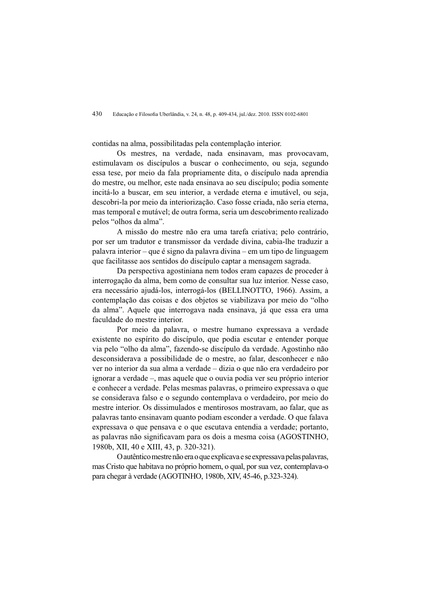contidas na alma, possibilitadas pela contemplação interior.

Os mestres, na verdade, nada ensinavam, mas provocavam, estimulavam os discípulos a buscar o conhecimento, ou seja, segundo essa tese, por meio da fala propriamente dita, o discípulo nada aprendia do mestre, ou melhor, este nada ensinava ao seu discípulo; podia somente incitá-lo a buscar, em seu interior, a verdade eterna e imutável, ou seja, descobri-la por meio da interiorização. Caso fosse criada, não seria eterna, mas temporal e mutável: de outra forma, seria um descobrimento realizado pelos "olhos da alma".

A missão do mestre não era uma tarefa criativa; pelo contrário. por ser um tradutor e transmissor da verdade divina, cabia-lhe traduzir a palavra interior – que é signo da palavra divina – em um tipo de linguagem que facilitasse aos sentidos do discípulo captar a mensagem sagrada.

Da perspectiva agostiniana nem todos eram capazes de proceder à interrogação da alma, bem como de consultar sua luz interior. Nesse caso, era necessário ajudá-los, interrogá-los (BELLINOTTO, 1966). Assim, a contemplação das coisas e dos objetos se viabilizava por meio do "olho" da alma". Aquele que interrogava nada ensinava, já que essa era uma faculdade do mestre interior.

Por meio da palavra, o mestre humano expressava a verdade existente no espírito do discípulo, que podia escutar e entender porque via pelo "olho da alma", fazendo-se discípulo da verdade. Agostinho não desconsiderava a possibilidade de o mestre, ao falar, desconhecer e não ver no interior da sua alma a verdade – dizia o que não era verdadeiro por ignorar a verdade –, mas aquele que o ouvia podia ver seu próprio interior e conhecer a verdade. Pelas mesmas palayras, o primeiro expressava o que se considerava falso e o segundo contemplava o verdadeiro, por meio do mestre interior. Os dissimulados e mentirosos mostravam, ao falar, que as palayras tanto ensinayam quanto podiam esconder a verdade. O que falaya expressava o que pensava e o que escutava entendia a verdade: portanto. as palavras não significavam para os dois a mesma coisa (AGOSTINHO, 1980b, XII, 40 e XIII, 43, p. 320-321).

O autêntico mestre não era o que explicava e se expressava pelas palavras. mas Cristo que habitava no próprio homem, o qual, por sua vez, contemplava-o para chegar à verdade (AGOTINHO, 1980b, XIV, 45-46, p.323-324).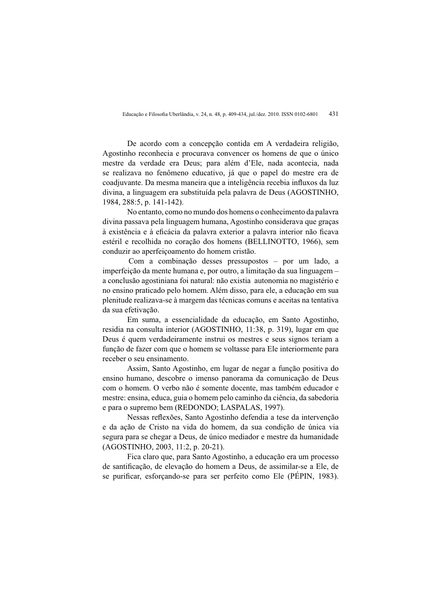De acordo com a concepção contida em A verdadeira religião, Agostinho reconhecia e procurava convencer os homens de que o único mestre da verdade era Deus; para além d'Ele, nada acontecia, nada se realizava no fenômeno educativo, já que o papel do mestre era de coadjuvante. Da mesma maneira que a inteligência recebia influxos da luz divina, a linguagem era substituída pela palavra de Deus (AGOSTINHO, 1984, 288:5, p. 141-142).

No entanto, como no mundo dos homens o conhecimento da palavra divina passava pela linguagem humana, Agostinho considerava que graças à existência e à eficácia da palavra exterior a palavra interior não ficava estéril e recolhida no coração dos homens (BELLINOTTO, 1966), sem conduzir ao aperfeicoamento do homem cristão.

Com a combinação desses pressupostos – por um lado, a imperfeição da mente humana e, por outro, a limitação da sua linguagem a conclusão agostiniana foi natural: não existia autonomia no magistério e no ensino praticado pelo homem. Além disso, para ele, a educação em sua plenitude realizava-se à margem das técnicas comuns e aceitas na tentativa da sua efetivação.

Em suma, a essencialidade da educação, em Santo Agostinho, residia na consulta interior (AGOSTINHO, 11:38, p. 319), lugar em que Deus é quem verdadeiramente instrui os mestres e seus signos teriam a função de fazer com que o homem se voltasse para Ele interiormente para receber o seu ensinamento.

Assim, Santo Agostinho, em lugar de negar a função positiva do ensino humano, descobre o imenso panorama da comunicação de Deus com o homem. O verbo não é somente docente, mas também educador e mestre: ensina, educa, guia o homem pelo caminho da ciência, da sabedoria e para o supremo bem (REDONDO; LASPALAS, 1997).

Nessas reflexões. Santo Agostinho defendia a tese da intervenção e da ação de Cristo na vida do homem, da sua condição de única via segura para se chegar a Deus, de único mediador e mestre da humanidade (AGOSTINHO, 2003, 11:2, p. 20-21).

Fica claro que, para Santo Agostinho, a educação era um processo de santificação, de elevação do homem a Deus, de assimilar-se a Ele, de se purificar, esforçando-se para ser perfeito como Ele (PÉPIN, 1983).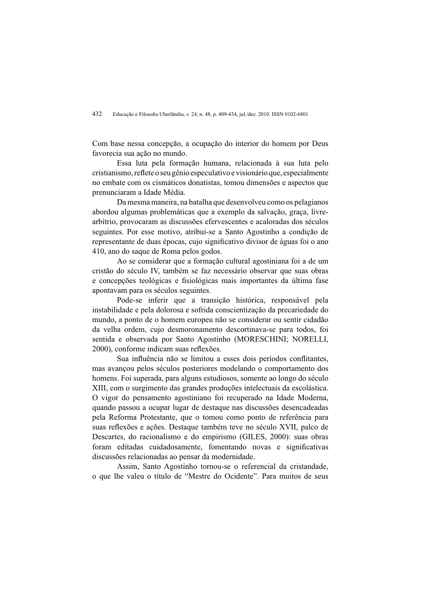Com base nessa concepção, a ocupação do interior do homem por Deus favorecia sua ação no mundo.

Essa luta pela formação humana, relacionada à sua luta pelo cristianismo, reflete o seu gênio especulativo e visionário que, especialmente no embate com os cismáticos donatistas, tomou dimensões e aspectos que prenunciaram a Idade Média.

Da mesma maneira, na batalha que desenvolveu como os pelagianos abordou algumas problemáticas que a exemplo da salvação, graça, livrearbítrio, provocaram as discussões efervescentes e acaloradas dos séculos seguintes. Por esse motivo, atribui-se a Santo Agostinho a condição de representante de duas épocas, cujo significativo divisor de águas foi o ano 410, ano do saque de Roma pelos godos.

Ao se considerar que a formação cultural agostiniana foi a de um cristão do século IV, também se faz necessário observar que suas obras e concepções teológicas e fisiológicas mais importantes da última fase apontavam para os séculos seguintes.

Pode-se inferir que a transição histórica, responsável pela instabilidade e pela dolorosa e sofrida conscientização da precariedade do mundo, a ponto de o homem europeu não se considerar ou sentir cidadão da velha ordem, cuio desmoronamento descortinava-se para todos, foi sentida e observada por Santo Agostinho (MORESCHINI: NORELLI, 2000), conforme indicam suas reflexões.

Sua influência não se limitou a esses dois períodos conflitantes, mas avançou pelos séculos posteriores modelando o comportamento dos homens. Foi superada, para alguns estudiosos, somente ao longo do século XIII, com o surgimento das grandes produções intelectuais da escolástica. O vigor do pensamento agostiniano foi recuperado na Idade Moderna, quando passou a ocupar lugar de destaque nas discussões desencadeadas pela Reforma Protestante, que o tomou como ponto de referência para suas reflexões e ações. Destaque também teve no século XVII, palco de Descartes, do racionalismo e do empirismo (GILES, 2000): suas obras foram editadas cuidadosamente, fomentando novas e significativas discussões relacionadas ao pensar da modernidade.

Assim. Santo Agostinho tornou-se o referencial da cristandade. o que lhe valeu o título de "Mestre do Ocidente". Para muitos de seus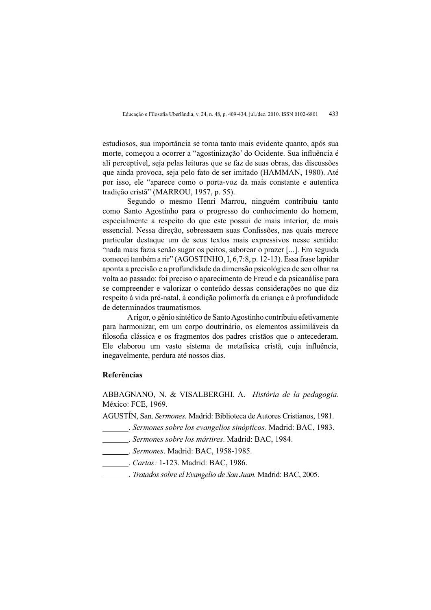estudiosos, sua importância se torna tanto mais evidente quanto, após sua morte, começou a ocorrer a "agostinização" do Ocidente. Sua influência é ali perceptível, seja pelas leituras que se faz de suas obras, das discussões que ainda provoca, seja pelo fato de ser imitado (HAMMAN, 1980). Até por isso, ele "aparece como o porta-voz da mais constante e autentica tradição cristã" (MARROU, 1957, p. 55).

Segundo o mesmo Henri Marrou, ninguém contribuiu tanto como Santo Agostinho para o progresso do conhecimento do homem, especialmente a respeito do que este possui de mais interior, de mais essencial. Nessa direção, sobressaem suas Confissões, nas quais merece particular destaque um de seus textos mais expressivos nesse sentido: "nada mais fazia senão sugar os peitos, saborear o prazer [...]. Em seguida comecei também a rir" (AGOSTINHO, I, 6,7:8, p. 12-13). Essa frase lapidar aponta a precisão e a profundidade da dimensão psicológica de seu olhar na volta ao passado: foi preciso o aparecimento de Freud e da psicanálise para se compreender e valorizar o conteúdo dessas considerações no que diz respeito à vida pré-natal, à condição polimorfa da criança e à profundidade de determinados traumatismos.

A rigor, o gênio sintético de Santo Agostinho contribuiu efetivamente para harmonizar, em um corpo doutrinário, os elementos assimiláveis da filosofia clássica e os fragmentos dos padres cristãos que o antecederam. Ele elaborou um vasto sistema de metafísica cristã, cuja influência, inegavelmente, perdura até nossos dias.

#### Referências

ABBAGNANO, N. & VISALBERGHI, A. História de la pedagogia. México: FCE, 1969.

AGUSTÍN, San. Sermones. Madrid: Biblioteca de Autores Cristianos, 1981.

- Sermones sobre los evangelios sinópticos. Madrid: BAC, 1983.
- \_\_\_\_\_\_\_\_. Sermones sobre los mártires. Madrid: BAC, 1984.
- \_\_\_\_\_\_\_\_. Sermones. Madrid: BAC, 1958-1985.
- Cartas: 1-123. Madrid: BAC, 1986.
- Tratados sobre el Evangelio de San Juan. Madrid: BAC, 2005.